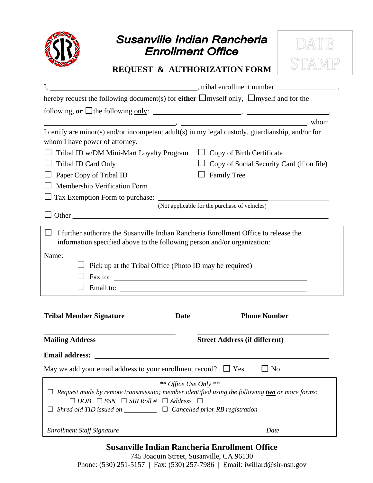

# Susanville Indian Rancheria **Enrollment Office**



## **REQUEST & AUTHORIZATION FORM**

| hereby request the following document(s) for <b>either</b> $\Box$ myself only, $\Box$ myself and for the                                                       |                                                  |  |
|----------------------------------------------------------------------------------------------------------------------------------------------------------------|--------------------------------------------------|--|
| following, or $\Box$ the following <u>only</u> : $\Box$ .                                                                                                      |                                                  |  |
|                                                                                                                                                                | $\overrightarrow{a}$ whom                        |  |
| I certify are minor(s) and/or incompetent adult(s) in my legal custody, guardianship, and/or for                                                               |                                                  |  |
| whom I have power of attorney.                                                                                                                                 |                                                  |  |
| Tribal ID w/DM Mini-Mart Loyalty Program $\Box$ Copy of Birth Certificate                                                                                      |                                                  |  |
| Tribal ID Card Only                                                                                                                                            | $\Box$ Copy of Social Security Card (if on file) |  |
| $\Box$ Paper Copy of Tribal ID                                                                                                                                 | <b>Family Tree</b>                               |  |
| Membership Verification Form                                                                                                                                   |                                                  |  |
|                                                                                                                                                                |                                                  |  |
|                                                                                                                                                                | (Not applicable for the purchase of vehicles)    |  |
|                                                                                                                                                                |                                                  |  |
| $\Box$ I further authorize the Susanville Indian Rancheria Enrollment Office to release the                                                                    |                                                  |  |
| information specified above to the following person and/or organization:                                                                                       |                                                  |  |
|                                                                                                                                                                |                                                  |  |
| $\Box$ Pick up at the Tribal Office (Photo ID may be required)                                                                                                 |                                                  |  |
| Fax to: $\overline{\phantom{a}}$                                                                                                                               |                                                  |  |
|                                                                                                                                                                |                                                  |  |
|                                                                                                                                                                |                                                  |  |
|                                                                                                                                                                |                                                  |  |
| <b>Tribal Member Signature</b><br><b>Date</b>                                                                                                                  | <b>Phone Number</b>                              |  |
|                                                                                                                                                                |                                                  |  |
| <b>Mailing Address</b>                                                                                                                                         | <b>Street Address (if different)</b>             |  |
| <b>Email address:</b>                                                                                                                                          |                                                  |  |
|                                                                                                                                                                | $\Box$ No                                        |  |
| May we add your email address to your enrollment record? $\Box$ Yes                                                                                            |                                                  |  |
| ** Office Use Only **                                                                                                                                          |                                                  |  |
| Request made by remote transmission; member identified using the following two or more forms:<br>$\Box$ DOB $\Box$ SSN $\Box$ SIR Roll # $\Box$ Address $\Box$ |                                                  |  |
|                                                                                                                                                                |                                                  |  |
| Shred old TID issued on $\Box$ $\Box$ Cancelled prior RB registration                                                                                          |                                                  |  |
|                                                                                                                                                                |                                                  |  |

**Susanville Indian Rancheria Enrollment Office**

745 Joaquin Street, Susanville, CA 96130 Phone: (530) 251-5157 | Fax: (530) 257-7986 | Email: [iwillard@sir-nsn.gov](mailto:iwillard@sir-nsn.gov)